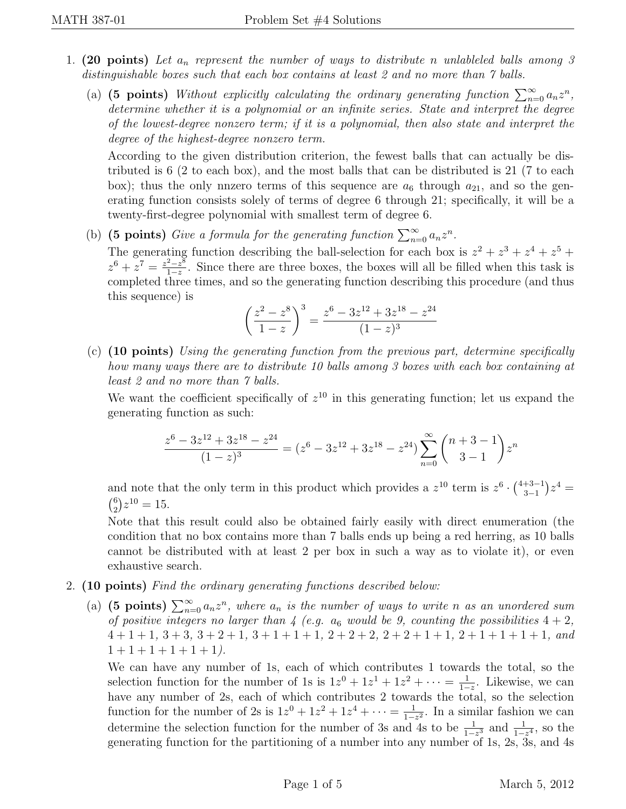- 1. (20 points) Let  $a_n$  represent the number of ways to distribute n unlableled balls among 3 distinguishable boxes such that each box contains at least 2 and no more than 7 balls.
	- (a) (5 points) Without explicitly calculating the ordinary generating function  $\sum_{n=0}^{\infty} a_n z^n$ , determine whether it is a polynomial or an infinite series. State and interpret the degree of the lowest-degree nonzero term; if it is a polynomial, then also state and interpret the degree of the highest-degree nonzero term.

According to the given distribution criterion, the fewest balls that can actually be distributed is 6 (2 to each box), and the most balls that can be distributed is 21 (7 to each box); thus the only nnzero terms of this sequence are  $a_6$  through  $a_{21}$ , and so the generating function consists solely of terms of degree 6 through 21; specifically, it will be a twenty-first-degree polynomial with smallest term of degree 6.

(b) (5 points) Give a formula for the generating function  $\sum_{n=0}^{\infty} a_n z^n$ . The generating function describing the ball-selection for each box is  $z^2 + z^3 + z^4 + z^5 + z^6$  $z^6 + z^7 = \frac{z^2 - z^8}{1 - z^8}$  $\frac{2-z^{\circ}}{1-z}$ . Since there are three boxes, the boxes will all be filled when this task is completed three times, and so the generating function describing this procedure (and thus this sequence) is

$$
\left(\frac{z^2 - z^8}{1 - z}\right)^3 = \frac{z^6 - 3z^{12} + 3z^{18} - z^{24}}{(1 - z)^3}
$$

(c) (10 points) Using the generating function from the previous part, determine specifically how many ways there are to distribute 10 balls among 3 boxes with each box containing at least 2 and no more than 7 balls.

We want the coefficient specifically of  $z^{10}$  in this generating function; let us expand the generating function as such:

$$
\frac{z^6-3z^{12}+3z^{18}-z^{24}}{(1-z)^3}=(z^6-3z^{12}+3z^{18}-z^{24})\sum_{n=0}^{\infty} \binom{n+3-1}{3-1}z^n
$$

and note that the only term in this product which provides a  $z^{10}$  term is  $z^{6} \cdot \binom{4+3-1}{3-1}$  $\binom{+3-1}{3-1}z^4 =$  $\binom{6}{2}$  $_{2}^{6}$  $\left( z^{10} = 15. \right)$ 

Note that this result could also be obtained fairly easily with direct enumeration (the condition that no box contains more than 7 balls ends up being a red herring, as 10 balls cannot be distributed with at least 2 per box in such a way as to violate it), or even exhaustive search.

- 2. (10 points) Find the ordinary generating functions described below:
	- (a) (5 points)  $\sum_{n=0}^{\infty} a_n z^n$ , where  $a_n$  is the number of ways to write n as an unordered sum of positive integers no larger than 4 (e.g.  $a_6$  would be 9, counting the possibilities  $4 + 2$ ,  $4+1+1$ ,  $3+3$ ,  $3+2+1$ ,  $3+1+1+1$ ,  $2+2+2$ ,  $2+2+1+1$ ,  $2+1+1+1+1$ , and  $1 + 1 + 1 + 1 + 1 + 1$ .

We can have any number of 1s, each of which contributes 1 towards the total, so the selection function for the number of 1s is  $1z^0 + 1z^1 + 1z^2 + \cdots = \frac{1}{1-z}$  $\frac{1}{1-z}$ . Likewise, we can have any number of 2s, each of which contributes 2 towards the total, so the selection function for the number of 2s is  $1z^{0} + 1z^{2} + 1z^{4} + \cdots = \frac{1}{1-z}$  $\frac{1}{1-z^2}$ . In a similar fashion we can determine the selection function for the number of 3s and 4s to be  $\frac{1}{1-z^3}$  and  $\frac{1}{1-z^4}$ , so the generating function for the partitioning of a number into any number of 1s, 2s, 3s, and 4s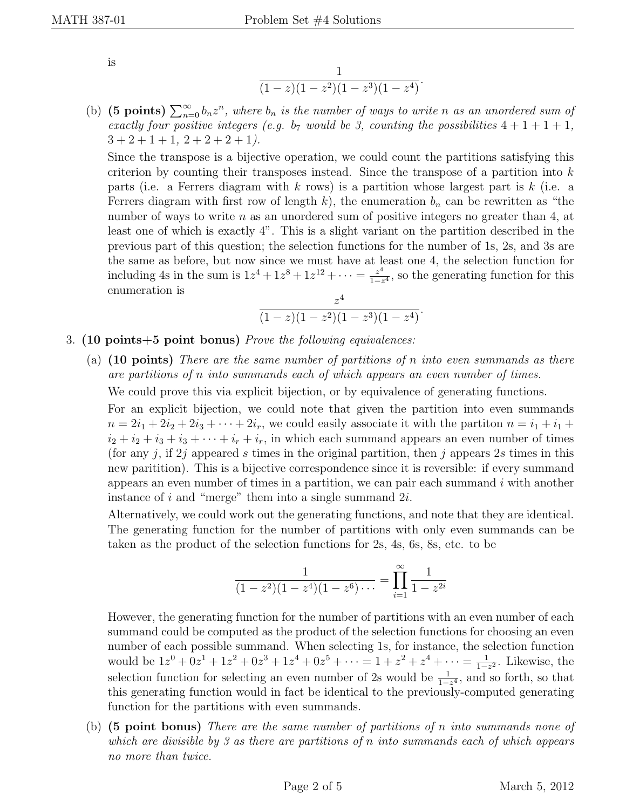is

$$
\frac{1}{(1-z)(1-z^2)(1-z^3)(1-z^4)}.
$$

(b) (5 points)  $\sum_{n=0}^{\infty} b_n z^n$ , where  $b_n$  is the number of ways to write n as an unordered sum of exactly four positive integers (e.g. b<sub>7</sub> would be 3, counting the possibilities  $4+1+1+1$ ,  $3 + 2 + 1 + 1$ ,  $2 + 2 + 2 + 1$ ).

Since the transpose is a bijective operation, we could count the partitions satisfying this criterion by counting their transposes instead. Since the transpose of a partition into  $k$ parts (i.e. a Ferrers diagram with k rows) is a partition whose largest part is k (i.e. a Ferrers diagram with first row of length k), the enumeration  $b_n$  can be rewritten as "the number of ways to write  $n$  as an unordered sum of positive integers no greater than 4, at least one of which is exactly 4". This is a slight variant on the partition described in the previous part of this question; the selection functions for the number of 1s, 2s, and 3s are the same as before, but now since we must have at least one 4, the selection function for including 4s in the sum is  $1z^4 + 1z^8 + 1z^{12} + \cdots = \frac{z^4}{1-z^4}$  $\frac{z^4}{1-z^4}$ , so the generating function for this enumeration is

$$
\frac{z^4}{(1-z)(1-z^2)(1-z^3)(1-z^4)}.
$$

- 3. (10 points+5 point bonus) Prove the following equivalences:
	- (a)  $(10 \text{ points})$  There are the same number of partitions of n into even summands as there are partitions of n into summands each of which appears an even number of times. We could prove this via explicit bijection, or by equivalence of generating functions.

For an explicit bijection, we could note that given the partition into even summands  $n = 2i_1 + 2i_2 + 2i_3 + \cdots + 2i_r$ , we could easily associate it with the partition  $n = i_1 + i_1 + \cdots + i_r$  $i_2 + i_2 + i_3 + i_3 + \cdots + i_r + i_r$ , in which each summand appears an even number of times (for any j, if 2j appeared s times in the original partition, then j appears 2s times in this new paritition). This is a bijective correspondence since it is reversible: if every summand appears an even number of times in a partition, we can pair each summand  $i$  with another instance of  $i$  and "merge" them into a single summand  $2i$ .

Alternatively, we could work out the generating functions, and note that they are identical. The generating function for the number of partitions with only even summands can be taken as the product of the selection functions for 2s, 4s, 6s, 8s, etc. to be

$$
\frac{1}{(1-z^2)(1-z^4)(1-z^6)\cdots} = \prod_{i=1}^{\infty} \frac{1}{1-z^{2i}}
$$

However, the generating function for the number of partitions with an even number of each summand could be computed as the product of the selection functions for choosing an even number of each possible summand. When selecting 1s, for instance, the selection function would be  $1z^0 + 0z^1 + 1z^2 + 0z^3 + 1z^4 + 0z^5 + \cdots = 1 + z^2 + z^4 + \cdots = \frac{1}{1-z}$  $\frac{1}{1-z^2}$ . Likewise, the selection function for selecting an even number of 2s would be  $\frac{1}{1-z^4}$ , and so forth, so that this generating function would in fact be identical to the previously-computed generating function for the partitions with even summands.

(b) (5 point bonus) There are the same number of partitions of n into summands none of which are divisible by 3 as there are partitions of n into summands each of which appears no more than twice.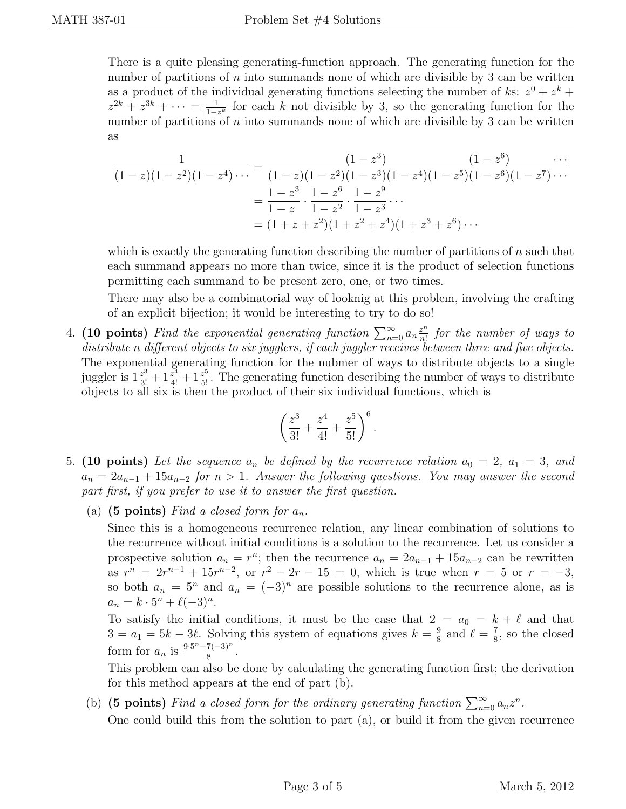There is a quite pleasing generating-function approach. The generating function for the number of partitions of n into summands none of which are divisible by 3 can be written as a product of the individual generating functions selecting the number of ks:  $z^0 + z^k$  +  $z^{2k} + z^{3k} + \cdots = \frac{1}{1-z}$  $\frac{1}{1-z^k}$  for each k not divisible by 3, so the generating function for the number of partitions of n into summands none of which are divisible by 3 can be written as

$$
\frac{1}{(1-z)(1-z^2)(1-z^4)\cdots} = \frac{(1-z^3)}{(1-z)(1-z^2)(1-z^3)(1-z^4)(1-z^5)(1-z^6)(1-z^7)\cdots}
$$

$$
= \frac{1-z^3}{1-z} \cdot \frac{1-z^6}{1-z^2} \cdot \frac{1-z^9}{1-z^3} \cdots
$$

$$
= (1+z+z^2)(1+z^2+z^4)(1+z^3+z^6)\cdots
$$

which is exactly the generating function describing the number of partitions of  $n$  such that each summand appears no more than twice, since it is the product of selection functions permitting each summand to be present zero, one, or two times.

There may also be a combinatorial way of looknig at this problem, involving the crafting of an explicit bijection; it would be interesting to try to do so!

4. (10 points) Find the exponential generating function  $\sum_{n=0}^{\infty} a_n \frac{z^n}{n!}$  $\frac{z^n}{n!}$  for the number of ways to distribute n different objects to six jugglers, if each juggler receives between three and five objects. The exponential generating function for the nubmer of ways to distribute objects to a single juggler is  $1\frac{z^3}{3!}+1\frac{z^4}{4!}+1\frac{z^5}{5!}$ . The generating function describing the number of ways to distribute objects to all six is then the product of their six individual functions, which is

$$
\left(\frac{z^3}{3!} + \frac{z^4}{4!} + \frac{z^5}{5!}\right)^6.
$$

- 5. (10 points) Let the sequence  $a_n$  be defined by the recurrence relation  $a_0 = 2$ ,  $a_1 = 3$ , and  $a_n = 2a_{n-1} + 15a_{n-2}$  for  $n > 1$ . Answer the following questions. You may answer the second part first, if you prefer to use it to answer the first question.
	- (a) (5 points) Find a closed form for  $a_n$ .

Since this is a homogeneous recurrence relation, any linear combination of solutions to the recurrence without initial conditions is a solution to the recurrence. Let us consider a prospective solution  $a_n = r^n$ ; then the recurrence  $a_n = 2a_{n-1} + 15a_{n-2}$  can be rewritten as  $r^{n} = 2r^{n-1} + 15r^{n-2}$ , or  $r^{2} - 2r - 15 = 0$ , which is true when  $r = 5$  or  $r = -3$ , so both  $a_n = 5^n$  and  $a_n = (-3)^n$  are possible solutions to the recurrence alone, as is  $a_n = k \cdot 5^n + \ell(-3)^n$ .

To satisfy the initial conditions, it must be the case that  $2 = a_0 = k + \ell$  and that  $3 = a_1 = 5k - 3\ell$ . Solving this system of equations gives  $k = \frac{9}{8}$  $\frac{9}{8}$  and  $\ell = \frac{7}{8}$  $\frac{7}{8}$ , so the closed form for  $a_n$  is  $\frac{9\cdot 5^n + 7(-3)^n}{8}$  $\frac{(1-3)^n}{8}$ .

This problem can also be done by calculating the generating function first; the derivation for this method appears at the end of part (b).

(b) (5 points) Find a closed form for the ordinary generating function  $\sum_{n=0}^{\infty} a_n z^n$ . One could build this from the solution to part (a), or build it from the given recurrence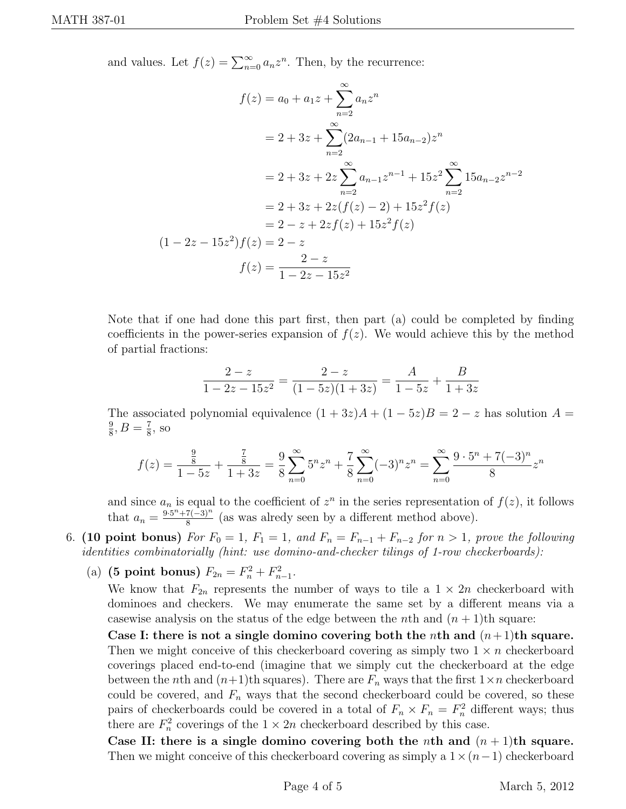and values. Let  $f(z) = \sum_{n=0}^{\infty} a_n z^n$ . Then, by the recurrence:

$$
f(z) = a_0 + a_1 z + \sum_{n=2}^{\infty} a_n z^n
$$
  
=  $2 + 3z + \sum_{n=2}^{\infty} (2a_{n-1} + 15a_{n-2})z^n$   
=  $2 + 3z + 2z \sum_{n=2}^{\infty} a_{n-1} z^{n-1} + 15z^2 \sum_{n=2}^{\infty} 15a_{n-2} z^{n-2}$   
=  $2 + 3z + 2z(f(z) - 2) + 15z^2 f(z)$   
=  $2 - z + 2zf(z) + 15z^2 f(z)$   
 $(1 - 2z - 15z^2)f(z) = 2 - z$   
 $f(z) = \frac{2 - z}{1 - 2z - 15z^2}$ 

Note that if one had done this part first, then part (a) could be completed by finding coefficients in the power-series expansion of  $f(z)$ . We would achieve this by the method of partial fractions:

$$
\frac{2-z}{1-2z-15z^2} = \frac{2-z}{(1-5z)(1+3z)} = \frac{A}{1-5z} + \frac{B}{1+3z}
$$

The associated polynomial equivalence  $(1 + 3z)A + (1 - 5z)B = 2 - z$  has solution  $A =$ 9  $\frac{9}{8}, B = \frac{7}{8}$  $\frac{7}{8}$ , so

$$
f(z) = \frac{\frac{9}{8}}{1 - 5z} + \frac{\frac{7}{8}}{1 + 3z} = \frac{9}{8} \sum_{n=0}^{\infty} 5^n z^n + \frac{7}{8} \sum_{n=0}^{\infty} (-3)^n z^n = \sum_{n=0}^{\infty} \frac{9 \cdot 5^n + 7(-3)^n}{8} z^n
$$

and since  $a_n$  is equal to the coefficient of  $z^n$  in the series representation of  $f(z)$ , it follows that  $a_n = \frac{9 \cdot 5^n + 7(-3)^n}{8}$  $\frac{7(-3)^n}{8}$  (as was alredy seen by a different method above).

6. (10 point bonus) For  $F_0 = 1$ ,  $F_1 = 1$ , and  $F_n = F_{n-1} + F_{n-2}$  for  $n > 1$ , prove the following identities combinatorially (hint: use domino-and-checker tilings of 1-row checkerboards):

(a) (5 point bonus)  $F_{2n} = F_n^2 + F_{n-1}^2$ .

We know that  $F_{2n}$  represents the number of ways to tile a  $1 \times 2n$  checkerboard with dominoes and checkers. We may enumerate the same set by a different means via a casewise analysis on the status of the edge between the nth and  $(n + 1)$ th square:

Case I: there is not a single domino covering both the nth and  $(n+1)$ th square. Then we might conceive of this checkerboard covering as simply two  $1 \times n$  checkerboard coverings placed end-to-end (imagine that we simply cut the checkerboard at the edge between the nth and  $(n+1)$ th squares). There are  $F_n$  ways that the first  $1 \times n$  checkerboard could be covered, and  $F_n$  ways that the second checkerboard could be covered, so these pairs of checkerboards could be covered in a total of  $F_n \times F_n = F_n^2$  different ways; thus there are  $F_n^2$  coverings of the  $1 \times 2n$  checkerboard described by this case.

Case II: there is a single domino covering both the nth and  $(n+1)$ th square. Then we might conceive of this checkerboard covering as simply a  $1\times(n-1)$  checkerboard